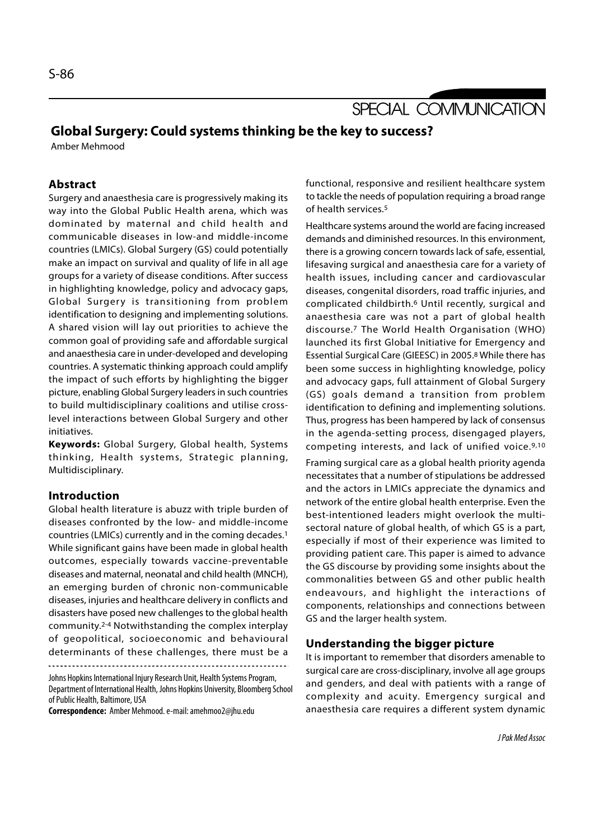# SPECIAL COMMUNICATION

## Global Surgery: Could systems thinking be the key to success?

Amber Mehmood

### Abstract

Surgery and anaesthesia care is progressively making its way into the Global Public Health arena, which was dominated by maternal and child health and communicable diseases in low-and middle-income countries (LMICs). Global Surgery (GS) could potentially make an impact on survival and quality of life in all age groups for a variety of disease conditions. After success in highlighting knowledge, policy and advocacy gaps, **Example 18**<br>
Surgery and anaesthesia care is progressively making its<br>
to tackle the needs of pop<br>
way into the Global Public Health arena, which was<br>
of health services.<sup>5</sup><br>
dominated by maternal and child health and<br>
co identification to designing and implementing solutions. A shared vision will lay out priorities to achieve the common goal of providing safe and affordable surgical and anaesthesia care in under-developed and developing countries. A systematic thinking approach could amplify the impact of such efforts by highlighting the bigger picture, enabling Global Surgery leaders in such countries to build multidisciplinary coalitions and utilise crosslevel interactions between Global Surgery and other initiatives. Common goal of providing sale and anotodable surgical<br>
and anaesthesia care in under-developed and developing<br>
countries. A systematic thinking approach could amplify<br>
the impact of such efforts by highlighting the bigger<br>

Keywords: Global Surgery, Global health, Systems Multidisciplinary.

#### Introduction

Global health literature is abuzz with triple burden of diseases confronted by the low- and middle-income countries (LMICs) currently and in the coming decades.1 While significant gains have been made in global health outcomes, especially towards vaccine-preventable diseases and maternal, neonatal and child health (MNCH), an emerging burden of chronic non-communicable diseases, injuries and healthcare delivery in conflicts and disasters have posed new challenges to the global health community.2-4 Notwithstanding the complex interplay of geopolitical, socioeconomic and behavioural determinants of these challenges, there must be a

Johns Hopkins International Injury Research Unit, Health Systems Program, Department of International Health, Johns Hopkins University, Bloomberg School of Public Health, Baltimore, USA

Correspondence: Amber Mehmood. e-mail: amehmoo2@jhu.edu

functional, responsive and resilient healthcare system to tackle the needs of population requiring a broad range of health services.5

Healthcare systems around the world are facing increased demands and diminished resources. In this environment, there is a growing concern towards lack of safe, essential, lifesaving surgical and anaesthesia care for a variety of health issues, including cancer and cardiovascular diseases, congenital disorders, road traffic injuries, and complicated childbirth.6 Until recently, surgical and anaesthesia care was not a part of global health discourse.7 The World Health Organisation (WHO) launched its first Global Initiative for Emergency and Essential Surgical Care (GIEESC) in 2005.8 While there has been some success in highlighting knowledge, policy and advocacy gaps, full attainment of Global Surgery (GS) goals demand a transition from problem identification to defining and implementing solutions. Thus, progress has been hampered by lack of consensus in the agenda-setting process, disengaged players, competing interests, and lack of unified voice.9,10

Framing surgical care as a global health priority agenda necessitates that a number of stipulations be addressed and the actors in LMICs appreciate the dynamics and network of the entire global health enterprise. Even the best-intentioned leaders might overlook the multisectoral nature of global health, of which GS is a part, especially if most of their experience was limited to providing patient care. This paper is aimed to advance the GS discourse by providing some insights about the commonalities between GS and other public health endeavours, and highlight the interactions of components, relationships and connections between GS and the larger health system.

#### Understanding the bigger picture

It is important to remember that disorders amenable to surgical care are cross-disciplinary, involve all age groups and genders, and deal with patients with a range of complexity and acuity. Emergency surgical and anaesthesia care requires a different system dynamic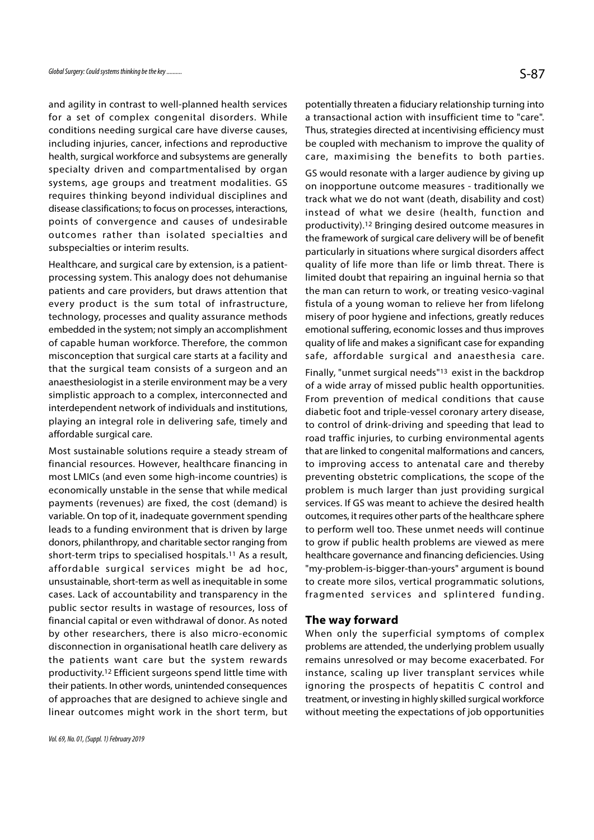and agility in contrast to well-planned health services for a set of complex congenital disorders. While conditions needing surgical care have diverse causes, including injuries, cancer, infections and reproductive health, surgical workforce and subsystems are generally specialty driven and compartmentalised by organ systems, age groups and treatment modalities. GS requires thinking beyond individual disciplines and disease classifications; to focus on processes, interactions, points of convergence and causes of undesirable outcomes rather than isolated specialties and subspecialties or interim results.

Healthcare, and surgical care by extension, is a patientprocessing system. This analogy does not dehumanise patients and care providers, but draws attention that every product is the sum total of infrastructure, technology, processes and quality assurance methods embedded in the system; not simply an accomplishment of capable human workforce. Therefore, the common misconception that surgical care starts at a facility and that the surgical team consists of a surgeon and an anaesthesiologist in a sterile environment may be a very simplistic approach to a complex, interconnected and interdependent network of individuals and institutions, playing an integral role in delivering safe, timely and affordable surgical care.

Most sustainable solutions require a steady stream of financial resources. However, healthcare financing in most LMICs (and even some high-income countries) is economically unstable in the sense that while medical payments (revenues) are fixed, the cost (demand) is variable. On top of it, inadequate government spending leads to a funding environment that is driven by large donors, philanthropy, and charitable sector ranging from short-term trips to specialised hospitals.11 As a result, affordable surgical services might be ad hoc, unsustainable, short-term as well as inequitable in some cases. Lack of accountability and transparency in the fragmented services and splintered funding. public sector results in wastage of resources, loss of financial capital or even withdrawal of donor. As noted by other researchers, there is also micro-economic disconnection in organisational heatlh care delivery as the patients want care but the system rewards productivity.12 Efficient surgeons spend little time with their patients. In other words, unintended consequences of approaches that are designed to achieve single and linear outcomes might work in the short term, but

potentially threaten a fiduciary relationship turning into a transactional action with insufficient time to "care". Thus, strategies directed at incentivising efficiency must be coupled with mechanism to improve the quality of care, maximising the benefits to both parties. GS would resonate with a larger audience by giving up on inopportune outcome measures - traditionally we track what we do not want (death, disability and cost) instead of what we desire (health, function and productivity).12 Bringing desired outcome measures in the framework of surgical care delivery will be of benefit particularly in situations where surgical disorders affect quality of life more than life or limb threat. There is limited doubt that repairing an inguinal hernia so that the man can return to work, or treating vesico-vaginal fistula of a young woman to relieve her from lifelong misery of poor hygiene and infections, greatly reduces emotional suffering, economic losses and thus improves quality of life and makes a significant case for expanding safe, affordable surgical and anaesthesia care.

Finally, "unmet surgical needs"13 exist in the backdrop of a wide array of missed public health opportunities. From prevention of medical conditions that cause diabetic foot and triple-vessel coronary artery disease, to control of drink-driving and speeding that lead to road traffic injuries, to curbing environmental agents that are linked to congenital malformations and cancers, to improving access to antenatal care and thereby preventing obstetric complications, the scope of the problem is much larger than just providing surgical services. If GS was meant to achieve the desired health outcomes, it requires other parts of the healthcare sphere to perform well too. These unmet needs will continue to grow if public health problems are viewed as mere healthcare governance and financing deficiencies. Using "my-problem-is-bigger-than-yours" argument is bound to create more silos, vertical programmatic solutions, preventing obstetric compineations, the scope of the<br>problem is much larger than just providing surgical<br>services. If GS was meant to achieve the desired health<br>outcomes, it requires other parts of the healthcare sphere<br>to

#### The way forward

When only the superficial symptoms of complex problems are attended, the underlying problem usually remains unresolved or may become exacerbated. For instance, scaling up liver transplant services while ignoring the prospects of hepatitis C control and treatment, or investing in highly skilled surgical workforce without meeting the expectations of job opportunities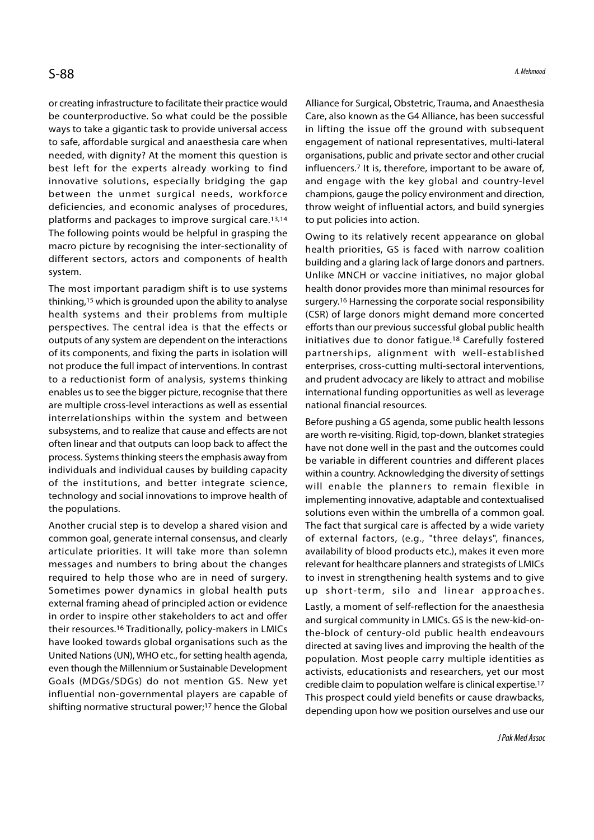or creating infrastructure to facilitate their practice would be counterproductive. So what could be the possible ways to take a gigantic task to provide universal access to safe, affordable surgical and anaesthesia care when needed, with dignity? At the moment this question is best left for the experts already working to find innovative solutions, especially bridging the gap between the unmet surgical needs, workforce deficiencies, and economic analyses of procedures, platforms and packages to improve surgical care.13,14 The following points would be helpful in grasping the macro picture by recognising the inter-sectionality of different sectors, actors and components of health system.

The most important paradigm shift is to use systems thinking,15 which is grounded upon the ability to analyse health systems and their problems from multiple perspectives. The central idea is that the effects or outputs of any system are dependent on the interactions of its components, and fixing the parts in isolation will not produce the full impact of interventions. In contrast to a reductionist form of analysis, systems thinking enables us to see the bigger picture, recognise that there are multiple cross-level interactions as well as essential interrelationships within the system and between subsystems, and to realize that cause and effects are not often linear and that outputs can loop back to affect the process. Systems thinking steers the emphasis away from individuals and individual causes by building capacity of the institutions, and better integrate science, technology and social innovations to improve health of the populations.

Another crucial step is to develop a shared vision and common goal, generate internal consensus, and clearly articulate priorities. It will take more than solemn messages and numbers to bring about the changes required to help those who are in need of surgery. Sometimes power dynamics in global health puts up short-term, silo and linear approaches. external framing ahead of principled action or evidence in order to inspire other stakeholders to act and offer their resources.16 Traditionally, policy-makers in LMICs have looked towards global organisations such as the United Nations (UN), WHO etc., for setting health agenda, even though the Millennium or Sustainable Development Goals (MDGs/SDGs) do not mention GS. New yet influential non-governmental players are capable of shifting normative structural power;17 hence the Global

Alliance for Surgical, Obstetric, Trauma, and Anaesthesia Care, also known as the G4 Alliance, has been successful in lifting the issue off the ground with subsequent engagement of national representatives, multi-lateral organisations, public and private sector and other crucial influencers.7 It is, therefore, important to be aware of, and engage with the key global and country-level champions, gauge the policy environment and direction, throw weight of influential actors, and build synergies to put policies into action.

Owing to its relatively recent appearance on global health priorities, GS is faced with narrow coalition building and a glaring lack of large donors and partners. Unlike MNCH or vaccine initiatives, no major global health donor provides more than minimal resources for surgery.16 Harnessing the corporate social responsibility (CSR) of large donors might demand more concerted efforts than our previous successful global public health initiatives due to donor fatigue.18 Carefully fostered partnerships, alignment with well-established enterprises, cross-cutting multi-sectoral interventions, and prudent advocacy are likely to attract and mobilise international funding opportunities as well as leverage national financial resources.

Before pushing a GS agenda, some public health lessons are worth re-visiting. Rigid, top-down, blanket strategies have not done well in the past and the outcomes could be variable in different countries and different places within a country. Acknowledging the diversity of settings will enable the planners to remain flexible in implementing innovative, adaptable and contextualised solutions even within the umbrella of a common goal. The fact that surgical care is affected by a wide variety of external factors, (e.g., "three delays", finances, availability of blood products etc.), makes it even more relevant for healthcare planners and strategists of LMICs to invest in strengthening health systems and to give within a country. Acknowiedging the diversity of settings<br>will enable the planners to remain flexible in<br>implementing innovative, adaptable and contextualised<br>solutions even within the umbrella of a common goal.<br>The fact t Lastly, a moment of self-reflection for the anaesthesia and surgical community in LMICs. GS is the new-kid-onthe-block of century-old public health endeavours directed at saving lives and improving the health of the population. Most people carry multiple identities as activists, educationists and researchers, yet our most credible claim to population welfare is clinical expertise.17 This prospect could yield benefits or cause drawbacks,

depending upon how we position ourselves and use our